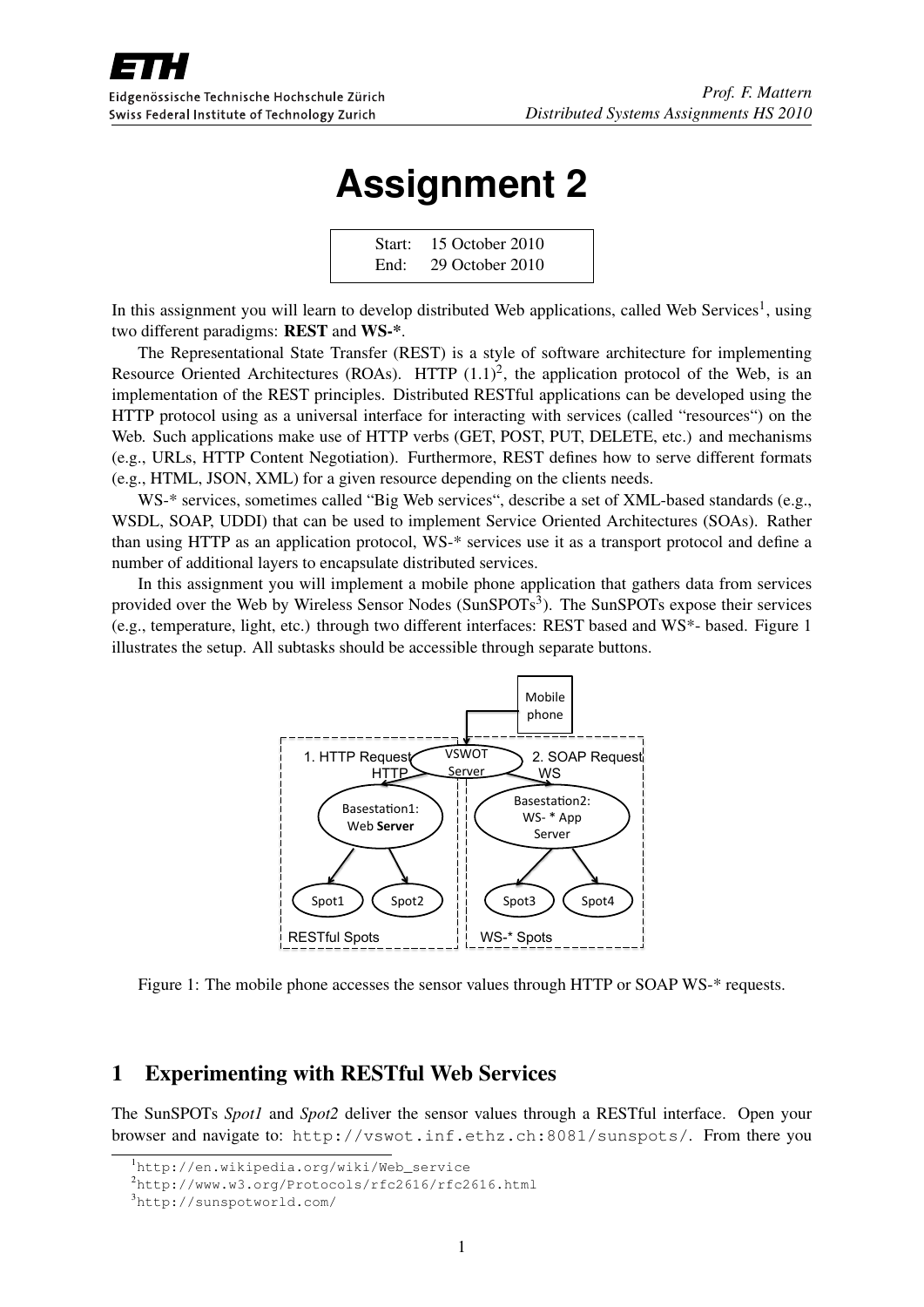

# **Assignment 2**

Start: 15 October 2010 End: 29 October 2010

In this assignment you will learn to develop distributed Web applications, called Web Services<sup>1</sup>, using two different paradigms: REST and WS-\*.

The Representational State Transfer (REST) is a style of software architecture for implementing Resource Oriented Architectures (ROAs). HTTP  $(1.1)^2$ , the application protocol of the Web, is an implementation of the REST principles. Distributed RESTful applications can be developed using the HTTP protocol using as a universal interface for interacting with services (called "resources") on the Web. Such applications make use of HTTP verbs (GET, POST, PUT, DELETE, etc.) and mechanisms (e.g., URLs, HTTP Content Negotiation). Furthermore, REST defines how to serve different formats (e.g., HTML, JSON, XML) for a given resource depending on the clients needs.

WS-\* services, sometimes called "Big Web services", describe a set of XML-based standards (e.g., WSDL, SOAP, UDDI) that can be used to implement Service Oriented Architectures (SOAs). Rather than using HTTP as an application protocol, WS-\* services use it as a transport protocol and define a number of additional layers to encapsulate distributed services.

In this assignment you will implement a mobile phone application that gathers data from services provided over the Web by Wireless Sensor Nodes (SunSPOTs<sup>3</sup>). The SunSPOTs expose their services (e.g., temperature, light, etc.) through two different interfaces: REST based and WS\*- based. Figure 1 illustrates the setup. All subtasks should be accessible through separate buttons.



Figure 1: The mobile phone accesses the sensor values through HTTP or SOAP WS-\* requests.

### 1 Experimenting with RESTful Web Services

The SunSPOTs *Spot1* and *Spot2* deliver the sensor values through a RESTful interface. Open your browser and navigate to: http://vswot.inf.ethz.ch:8081/sunspots/. From there you

<sup>1</sup>http://en.wikipedia.org/wiki/Web\_service

<sup>2</sup>http://www.w3.org/Protocols/rfc2616/rfc2616.html

<sup>3</sup>http://sunspotworld.com/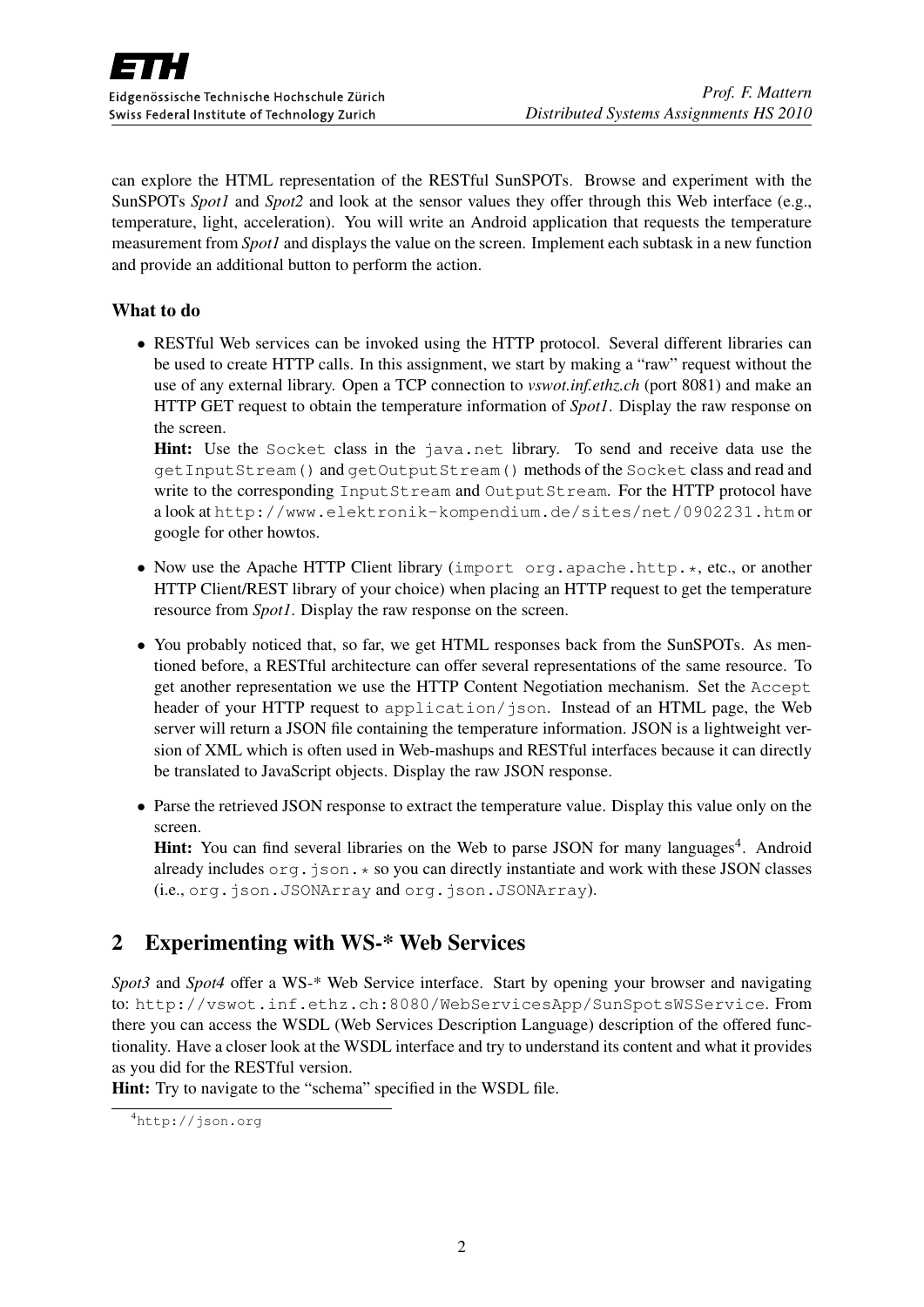can explore the HTML representation of the RESTful SunSPOTs. Browse and experiment with the SunSPOTs *Spot1* and *Spot2* and look at the sensor values they offer through this Web interface (e.g., temperature, light, acceleration). You will write an Android application that requests the temperature measurement from *Spot1* and displays the value on the screen. Implement each subtask in a new function and provide an additional button to perform the action.

#### What to do

• RESTful Web services can be invoked using the HTTP protocol. Several different libraries can be used to create HTTP calls. In this assignment, we start by making a "raw" request without the use of any external library. Open a TCP connection to *vswot.inf.ethz.ch* (port 8081) and make an HTTP GET request to obtain the temperature information of *Spot1*. Display the raw response on the screen.

Hint: Use the Socket class in the java.net library. To send and receive data use the getInputStream() and getOutputStream() methods of the Socket class and read and write to the corresponding InputStream and OutputStream. For the HTTP protocol have a look at http://www.elektronik-kompendium.de/sites/net/0902231.htm or google for other howtos.

- Now use the Apache HTTP Client library (import org.apache.http.\*, etc., or another HTTP Client/REST library of your choice) when placing an HTTP request to get the temperature resource from *Spot1*. Display the raw response on the screen.
- You probably noticed that, so far, we get HTML responses back from the SunSPOTs. As mentioned before, a RESTful architecture can offer several representations of the same resource. To get another representation we use the HTTP Content Negotiation mechanism. Set the Accept header of your HTTP request to application/json. Instead of an HTML page, the Web server will return a JSON file containing the temperature information. JSON is a lightweight version of XML which is often used in Web-mashups and RESTful interfaces because it can directly be translated to JavaScript objects. Display the raw JSON response.
- Parse the retrieved JSON response to extract the temperature value. Display this value only on the screen.

Hint: You can find several libraries on the Web to parse JSON for many languages<sup>4</sup>. Android already includes  $\circ$ rg.json. $\star$  so you can directly instantiate and work with these JSON classes (i.e., org.json.JSONArray and org.json.JSONArray).

## 2 Experimenting with WS-\* Web Services

*Spot3* and *Spot4* offer a WS-\* Web Service interface. Start by opening your browser and navigating to: http://vswot.inf.ethz.ch:8080/WebServicesApp/SunSpotsWSService. From there you can access the WSDL (Web Services Description Language) description of the offered functionality. Have a closer look at the WSDL interface and try to understand its content and what it provides as you did for the RESTful version.

Hint: Try to navigate to the "schema" specified in the WSDL file.

<sup>4</sup>http://json.org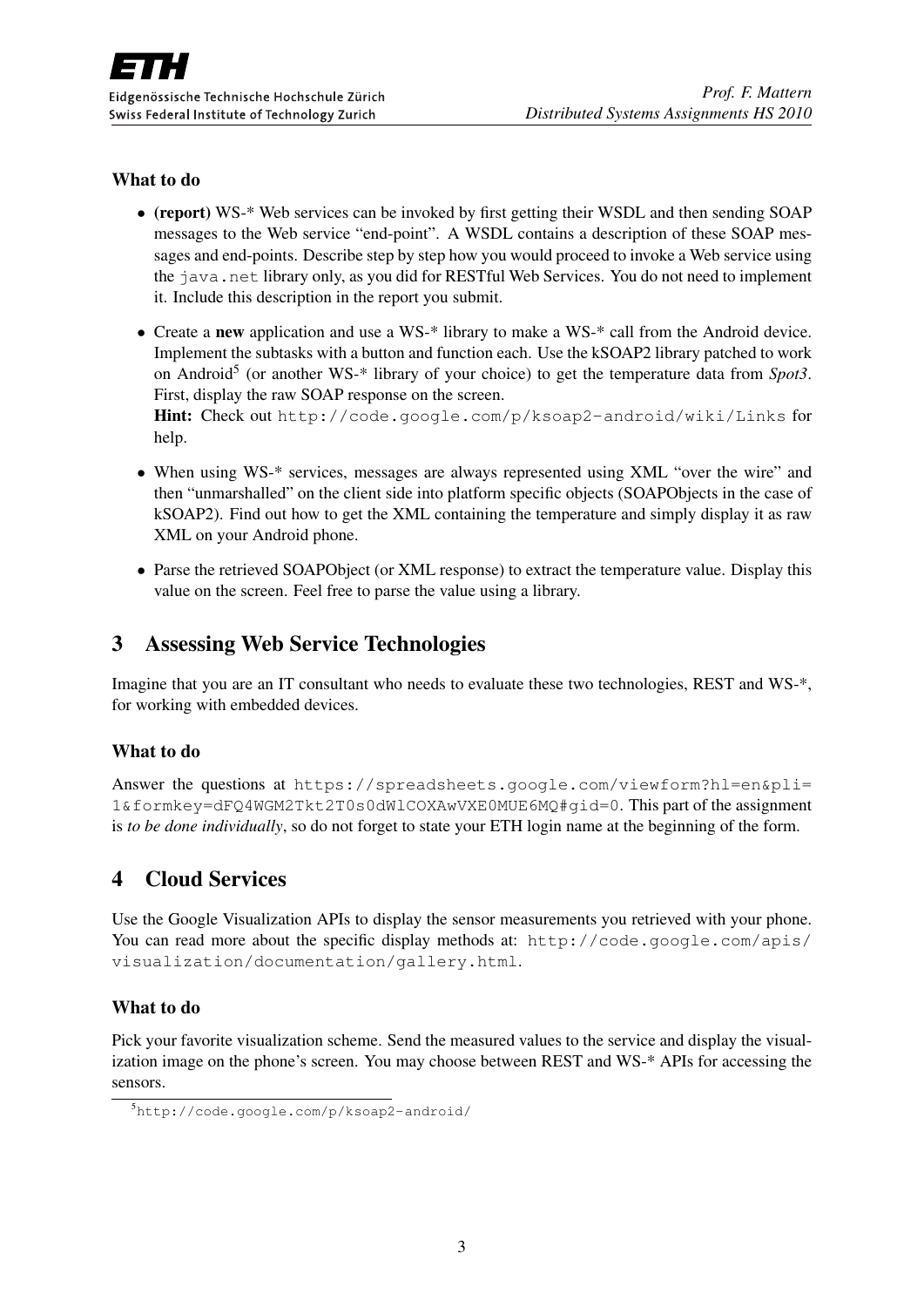#### What to do

- (report) WS-\* Web services can be invoked by first getting their WSDL and then sending SOAP messages to the Web service "end-point". A WSDL contains a description of these SOAP messages and end-points. Describe step by step how you would proceed to invoke a Web service using the java.net library only, as you did for RESTful Web Services. You do not need to implement it. Include this description in the report you submit.
- Create a new application and use a WS-\* library to make a WS-\* call from the Android device. Implement the subtasks with a button and function each. Use the kSOAP2 library patched to work on Android<sup>5</sup> (or another WS-\* library of your choice) to get the temperature data from *Spot3*. First, display the raw SOAP response on the screen.

Hint: Check out http://code.google.com/p/ksoap2-android/wiki/Links for help.

- When using WS-\* services, messages are always represented using XML "over the wire" and then "unmarshalled" on the client side into platform specific objects (SOAPObjects in the case of kSOAP2). Find out how to get the XML containing the temperature and simply display it as raw XML on your Android phone.
- Parse the retrieved SOAPObject (or XML response) to extract the temperature value. Display this value on the screen. Feel free to parse the value using a library.

## 3 Assessing Web Service Technologies

Imagine that you are an IT consultant who needs to evaluate these two technologies, REST and WS-\*, for working with embedded devices.

#### What to do

Answer the questions at https://spreadsheets.google.com/viewform?hl=en&pli= 1&formkey=dFQ4WGM2Tkt2T0s0dWlCOXAwVXE0MUE6MQ#gid=0. This part of the assignment is *to be done individually*, so do not forget to state your ETH login name at the beginning of the form.

## 4 Cloud Services

Use the Google Visualization APIs to display the sensor measurements you retrieved with your phone. You can read more about the specific display methods at: http://code.google.com/apis/ visualization/documentation/gallery.html.

#### What to do

Pick your favorite visualization scheme. Send the measured values to the service and display the visualization image on the phone's screen. You may choose between REST and WS-\* APIs for accessing the sensors.

<sup>5</sup>http://code.google.com/p/ksoap2-android/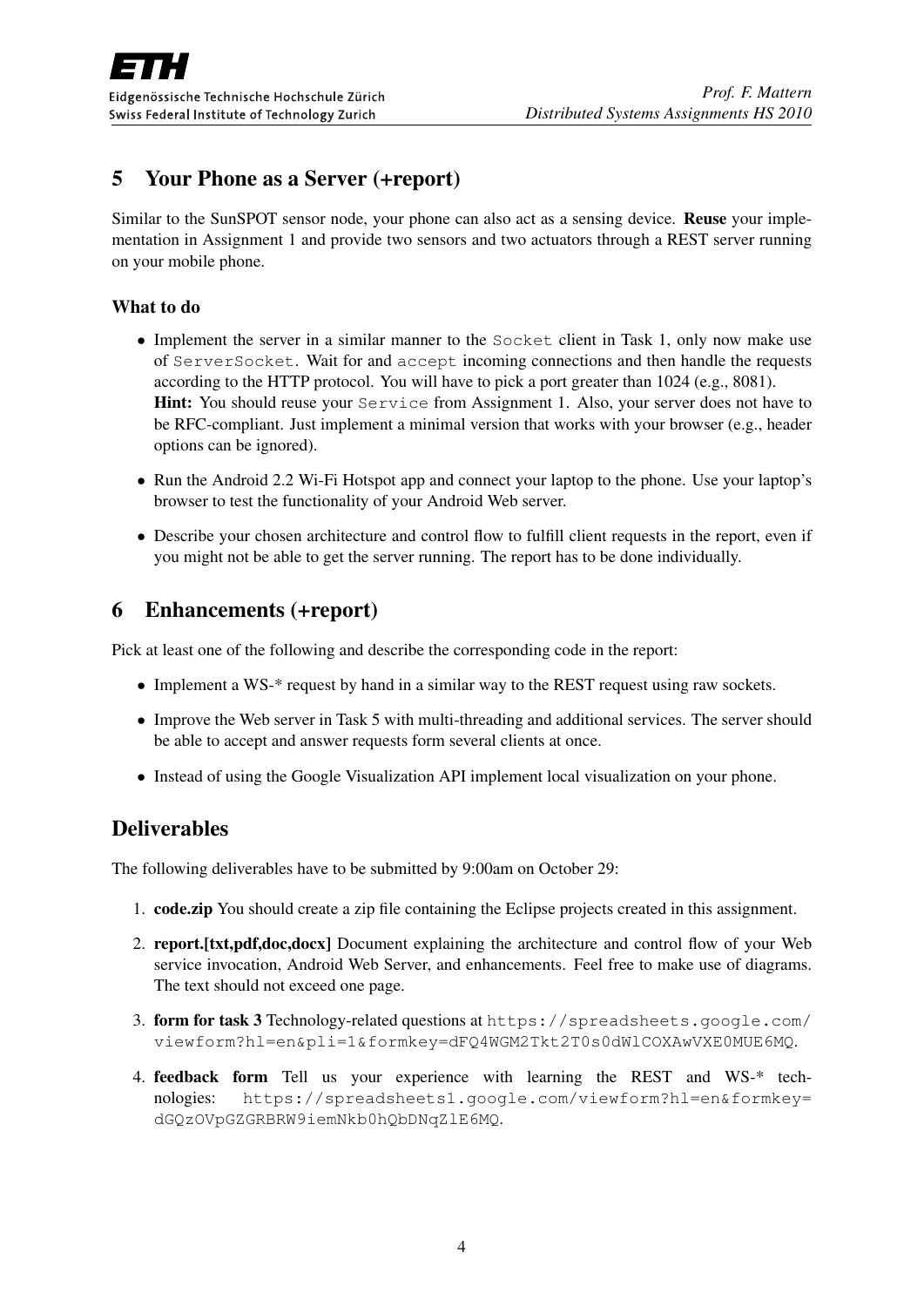# 5 Your Phone as a Server (+report)

Similar to the SunSPOT sensor node, your phone can also act as a sensing device. Reuse your implementation in Assignment 1 and provide two sensors and two actuators through a REST server running on your mobile phone.

#### What to do

- Implement the server in a similar manner to the Socket client in Task 1, only now make use of ServerSocket. Wait for and accept incoming connections and then handle the requests according to the HTTP protocol. You will have to pick a port greater than 1024 (e.g., 8081). Hint: You should reuse your Service from Assignment 1. Also, your server does not have to be RFC-compliant. Just implement a minimal version that works with your browser (e.g., header options can be ignored).
- Run the Android 2.2 Wi-Fi Hotspot app and connect your laptop to the phone. Use your laptop's browser to test the functionality of your Android Web server.
- Describe your chosen architecture and control flow to fulfill client requests in the report, even if you might not be able to get the server running. The report has to be done individually.

## 6 Enhancements (+report)

Pick at least one of the following and describe the corresponding code in the report:

- Implement a WS-\* request by hand in a similar way to the REST request using raw sockets.
- Improve the Web server in Task 5 with multi-threading and additional services. The server should be able to accept and answer requests form several clients at once.
- Instead of using the Google Visualization API implement local visualization on your phone.

## **Deliverables**

The following deliverables have to be submitted by 9:00am on October 29:

- 1. code.zip You should create a zip file containing the Eclipse projects created in this assignment.
- 2. report.[txt,pdf,doc,docx] Document explaining the architecture and control flow of your Web service invocation, Android Web Server, and enhancements. Feel free to make use of diagrams. The text should not exceed one page.
- 3. form for task 3 Technology-related questions at https://spreadsheets.google.com/ viewform?hl=en&pli=1&formkey=dFQ4WGM2Tkt2T0s0dWlCOXAwVXE0MUE6MQ.
- 4. feedback form Tell us your experience with learning the REST and WS-\* technologies: https://spreadsheets1.google.com/viewform?hl=en&formkey= dGQzOVpGZGRBRW9iemNkb0hQbDNqZlE6MQ.